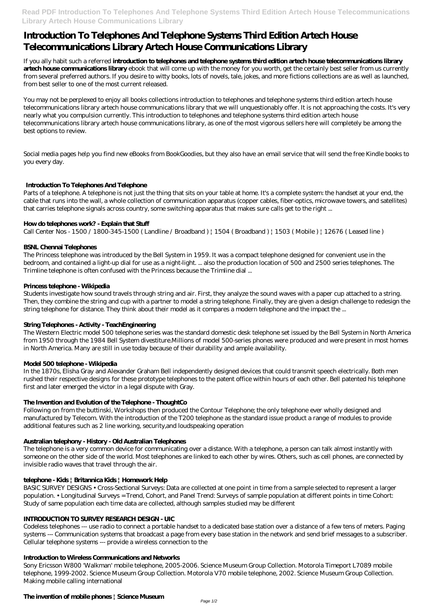**Read PDF Introduction To Telephones And Telephone Systems Third Edition Artech House Telecommunications Library Artech House Communications Library**

# **Introduction To Telephones And Telephone Systems Third Edition Artech House Telecommunications Library Artech House Communications Library**

If you ally habit such a referred **introduction to telephones and telephone systems third edition artech house telecommunications library artech house communications library** ebook that will come up with the money for you worth, get the certainly best seller from us currently from several preferred authors. If you desire to witty books, lots of novels, tale, jokes, and more fictions collections are as well as launched, from best seller to one of the most current released.

You may not be perplexed to enjoy all books collections introduction to telephones and telephone systems third edition artech house telecommunications library artech house communications library that we will unquestionably offer. It is not approaching the costs. It's very nearly what you compulsion currently. This introduction to telephones and telephone systems third edition artech house telecommunications library artech house communications library, as one of the most vigorous sellers here will completely be among the best options to review.

Social media pages help you find new eBooks from BookGoodies, but they also have an email service that will send the free Kindle books to you every day.

# **Introduction To Telephones And Telephone**

Parts of a telephone. A telephone is not just the thing that sits on your table at home. It's a complete system: the handset at your end, the cable that runs into the wall, a whole collection of communication apparatus (copper cables, fiber-optics, microwave towers, and satellites) that carries telephone signals across country, some switching apparatus that makes sure calls get to the right ...

## **How do telephones work? - Explain that Stuff**

Call Center Nos - 1500 / 1800-345-1500 (Landline / Broadband ) | 1504 (Broadband ) | 1503 (Mobile ) | 12676 (Leased line )

## **BSNL Chennai Telephones**

The Princess telephone was introduced by the Bell System in 1959. It was a compact telephone designed for convenient use in the bedroom, and contained a light-up dial for use as a night-light. ... also the production location of 500 and 2500 series telephones. The Trimline telephone is often confused with the Princess because the Trimline dial ...

## **Princess telephone - Wikipedia**

Students investigate how sound travels through string and air. First, they analyze the sound waves with a paper cup attached to a string. Then, they combine the string and cup with a partner to model a string telephone. Finally, they are given a design challenge to redesign the string telephone for distance. They think about their model as it compares a modern telephone and the impact the ...

# **String Telephones - Activity - TeachEngineering**

The Western Electric model 500 telephone series was the standard domestic desk telephone set issued by the Bell System in North America from 1950 through the 1984 Bell System divestiture.Millions of model 500-series phones were produced and were present in most homes in North America. Many are still in use today because of their durability and ample availability.

# **Model 500 telephone - Wikipedia**

In the 1870s, Elisha Gray and Alexander Graham Bell independently designed devices that could transmit speech electrically. Both men rushed their respective designs for these prototype telephones to the patent office within hours of each other. Bell patented his telephone first and later emerged the victor in a legal dispute with Gray.

## **The Invention and Evolution of the Telephone - ThoughtCo**

Following on from the buttinski, Workshops then produced the Contour Telephone; the only telephone ever wholly designed and manufactured by Telecom. With the introduction of the T200 telephone as the standard issue product a range of modules to provide additional features such as 2 line working, security,and loudspeaking operation

# **Australian telephony - History - Old Australian Telephones**

The telephone is a very common device for communicating over a distance. With a telephone, a person can talk almost instantly with someone on the other side of the world. Most telephones are linked to each other by wires. Others, such as cell phones, are connected by invisible radio waves that travel through the air.

#### **telephone - Kids | Britannica Kids | Homework Help**

BASIC SURVEY DESIGNS • Cross-Sectional Surveys: Data are collected at one point in time from a sample selected to represent a larger population. • Longitudinal Surveys = Trend, Cohort, and Panel Trend: Surveys of sample population at different points in time Cohort: Study of same population each time data are collected, although samples studied may be different

#### **INTRODUCTION TO SURVEY RESEARCH DESIGN - UIC**

Codeless telephones --- use radio to connect a portable handset to a dedicated base station over a distance of a few tens of meters. Paging systems --- Communication systems that broadcast a page from every base station in the network and send brief messages to a subscriber. Cellular telephone systems --- provide a wireless connection to the

#### **Introduction to Wireless Communications and Networks**

Sony Ericsson W800 'Walkman' mobile telephone, 2005-2006. Science Museum Group Collection. Motorola Timeport L7089 mobile telephone, 1999-2002. Science Museum Group Collection. Motorola V70 mobile telephone, 2002. Science Museum Group Collection. Making mobile calling international

#### **The invention of mobile phones | Science Museum**